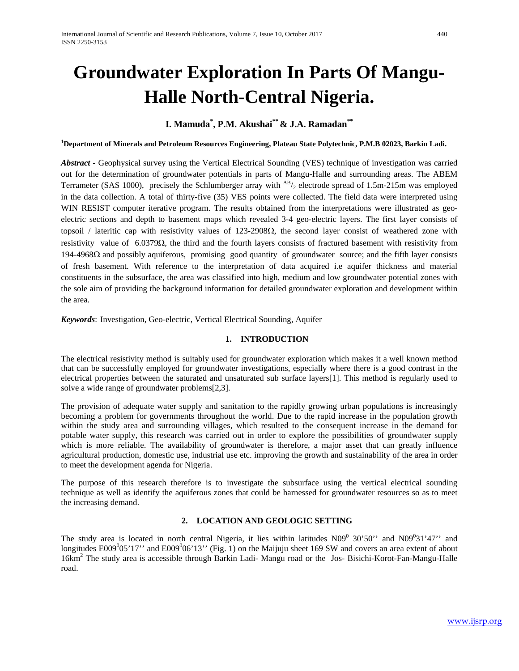# **Groundwater Exploration In Parts Of Mangu-Halle North-Central Nigeria.**

# **I. Mamuda\* , P.M. Akushai\*\* & J.A. Ramadan\*\***

**1 Department of Minerals and Petroleum Resources Engineering, Plateau State Polytechnic, P.M.B 02023, Barkin Ladi.** 

*Abstract* **-** Geophysical survey using the Vertical Electrical Sounding (VES) technique of investigation was carried out for the determination of groundwater potentials in parts of Mangu-Halle and surrounding areas. The ABEM Terrameter (SAS 1000), precisely the Schlumberger array with  $^{AB/2}$  electrode spread of 1.5m-215m was employed in the data collection. A total of thirty-five (35) VES points were collected. The field data were interpreted using WIN RESIST computer iterative program. The results obtained from the interpretations were illustrated as geoelectric sections and depth to basement maps which revealed 3-4 geo-electric layers. The first layer consists of topsoil / lateritic cap with resistivity values of 123-2908Ω, the second layer consist of weathered zone with resistivity value of 6.0379Ω, the third and the fourth layers consists of fractured basement with resistivity from 194-4968Ω and possibly aquiferous, promising good quantity of groundwater source; and the fifth layer consists of fresh basement. With reference to the interpretation of data acquired i.e aquifer thickness and material constituents in the subsurface, the area was classified into high, medium and low groundwater potential zones with the sole aim of providing the background information for detailed groundwater exploration and development within the area.

*Keywords*: Investigation, Geo-electric, Vertical Electrical Sounding, Aquifer

### **1. INTRODUCTION**

The electrical resistivity method is suitably used for groundwater exploration which makes it a well known method that can be successfully employed for groundwater investigations, especially where there is a good contrast in the electrical properties between the saturated and unsaturated sub surface layers[1]. This method is regularly used to solve a wide range of groundwater problems[2,3].

The provision of adequate water supply and sanitation to the rapidly growing urban populations is increasingly becoming a problem for governments throughout the world. Due to the rapid increase in the population growth within the study area and surrounding villages, which resulted to the consequent increase in the demand for potable water supply, this research was carried out in order to explore the possibilities of groundwater supply which is more reliable. The availability of groundwater is therefore, a major asset that can greatly influence agricultural production, domestic use, industrial use etc. improving the growth and sustainability of the area in order to meet the development agenda for Nigeria.

The purpose of this research therefore is to investigate the subsurface using the vertical electrical sounding technique as well as identify the aquiferous zones that could be harnessed for groundwater resources so as to meet the increasing demand.

# **2. LOCATION AND GEOLOGIC SETTING**

The study area is located in north central Nigeria, it lies within latitudes  $N09^0$  30'50" and  $N09^0$ 31'47" and longitudes  $E009^005'17''$  and  $E009^006'13''$  (Fig. 1) on the Maijuju sheet 169 SW and covers an area extent of about 16km2 The study area is accessible through Barkin Ladi- Mangu road or the Jos- Bisichi-Korot-Fan-Mangu-Halle road.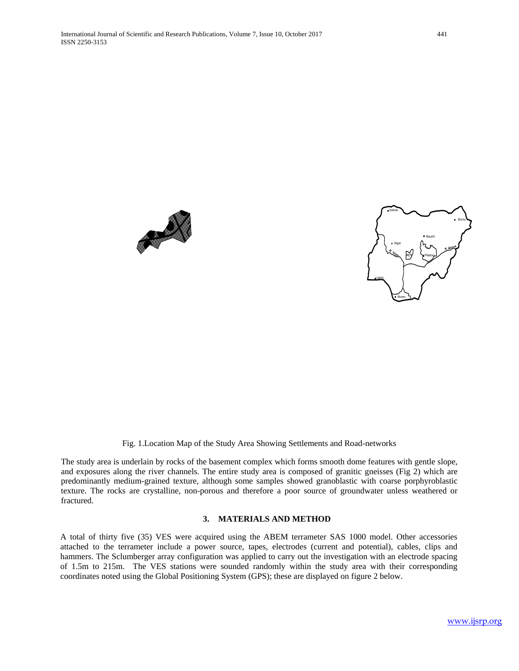



#### Fig. 1.Location Map of the Study Area Showing Settlements and Road-networks

The study area is underlain by rocks of the basement complex which forms smooth dome features with gentle slope, and exposures along the river channels. The entire study area is composed of granitic gneisses (Fig 2) which are predominantly medium-grained texture, although some samples showed granoblastic with coarse porphyroblastic texture. The rocks are crystalline, non-porous and therefore a poor source of groundwater unless weathered or fractured.

#### **3. MATERIALS AND METHOD**

A total of thirty five (35) VES were acquired using the ABEM terrameter SAS 1000 model. Other accessories attached to the terrameter include a power source, tapes, electrodes (current and potential), cables, clips and hammers. The Sclumberger array configuration was applied to carry out the investigation with an electrode spacing of 1.5m to 215m. The VES stations were sounded randomly within the study area with their corresponding coordinates noted using the Global Positioning System (GPS); these are displayed on figure 2 below.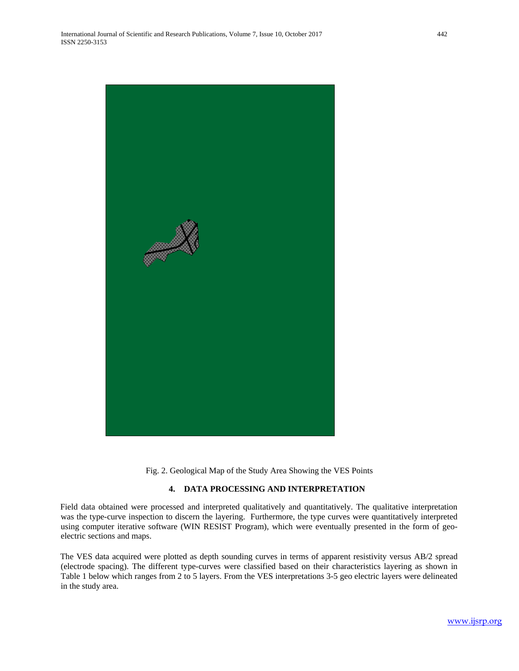

Fig. 2. Geological Map of the Study Area Showing the VES Points

# **4. DATA PROCESSING AND INTERPRETATION**

Field data obtained were processed and interpreted qualitatively and quantitatively. The qualitative interpretation was the type-curve inspection to discern the layering. Furthermore, the type curves were quantitatively interpreted using computer iterative software (WIN RESIST Program), which were eventually presented in the form of geoelectric sections and maps.

The VES data acquired were plotted as depth sounding curves in terms of apparent resistivity versus AB/2 spread (electrode spacing). The different type-curves were classified based on their characteristics layering as shown in Table 1 below which ranges from 2 to 5 layers. From the VES interpretations 3-5 geo electric layers were delineated in the study area.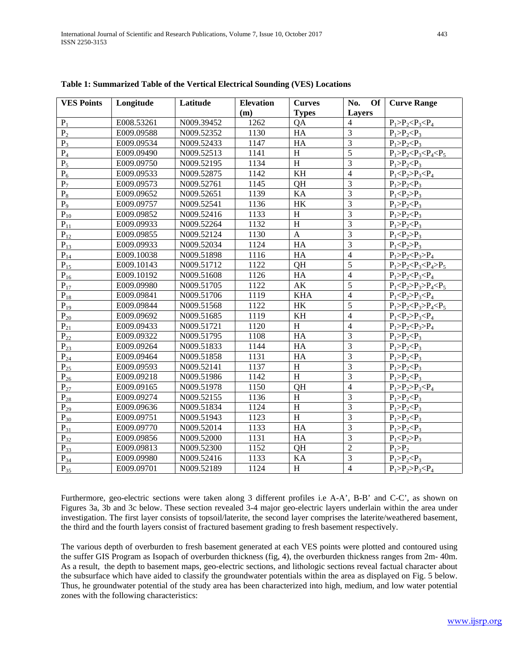| <b>VES Points</b> | Longitude  | Latitude   | <b>Elevation</b> | <b>Curves</b>             | No.<br>Of      | <b>Curve Range</b>            |
|-------------------|------------|------------|------------------|---------------------------|----------------|-------------------------------|
|                   |            |            | (m)              | <b>Types</b>              | Layers         |                               |
| $P_1$             | E008.53261 | N009.39452 | 1262             | QA                        | $\overline{4}$ | $P_1 > P_2 < P_3 < P_4$       |
| P <sub>2</sub>    | E009.09588 | N009.52352 | 1130             | HA                        | $\overline{3}$ | $P_1 > P_2 < P_3$             |
| $P_3$             | E009.09534 | N009.52433 | 1147             | HA                        | $\overline{3}$ | $P_1 > P_2 < P_3$             |
| $P_4$             | E009.09490 | N009.52513 | 1141             | H                         | $\overline{5}$ | $P_1 > P_2 < P_3 < P_4 < P_5$ |
| $P_5$             | E009.09750 | N009.52195 | 1134             | $\boldsymbol{\mathrm{H}}$ | $\overline{3}$ | $P_1 > P_2 < P_3$             |
| $P_6$             | E009.09533 | N009.52875 | 1142             | KH                        | $\overline{4}$ | $P_1 < P_2 > P_3 < P_4$       |
| $P_7$             | E009.09573 | N009.52761 | 1145             | QH                        | $\overline{3}$ | $P_1 > P_2 < P_3$             |
| $\rm P_8$         | E009.09652 | N009.52651 | 1139             | KA                        | $\overline{3}$ | $P_1 < P_2 > P_3$             |
| $P_9$             | E009.09757 | N009.52541 | 1136             | $\rm{HK}$                 | $\overline{3}$ | $P_1 > P_2 < P_3$             |
| $P_{10}$          | E009.09852 | N009.52416 | 1133             | H                         | $\overline{3}$ | $P_1 > P_2 < P_3$             |
| $P_{11}$          | E009.09933 | N009.52264 | 1132             | H                         | $\overline{3}$ | $P_1 > P_2 < P_3$             |
| $P_{12}$          | E009.09855 | N009.52124 | 1130             | $\mathbf{A}$              | $\overline{3}$ | $P_1 < P_2 > P_3$             |
| $P_{13}$          | E009.09933 | N009.52034 | 1124             | HA                        | $\overline{3}$ | $P_1 < P_2 > P_3$             |
| $P_{14}$          | E009.10038 | N009.51898 | 1116             | HA                        | $\overline{4}$ | $P_1 > P_2 < P_3 > P_4$       |
| $P_{15}$          | E009.10143 | N009.51712 | 1122             | QH                        | $\overline{5}$ | $P_1 > P_2 < P_3 < P_4 > P_5$ |
| $P_{16}$          | E009.10192 | N009.51608 | 1126             | ${\rm HA}$                | $\overline{4}$ | $P_1 > P_2 < P_3 < P_4$       |
| $P_{17}$          | E009.09980 | N009.51705 | 1122             | $\mathbf{A}\mathbf{K}$    | $\overline{5}$ | $P_1 < P_2 > P_3 > P_4 < P_5$ |
| $P_{18}$          | E009.09841 | N009.51706 | 1119             | <b>KHA</b>                | $\overline{4}$ | $P_1 < P_2 > P_3 < P_4$       |
| $P_{19}$          | E009.09844 | N009.51568 | 1122             | <b>HK</b>                 | $\overline{5}$ | $P_1 > P_2 < P_3 > P_4 < P_5$ |
| $P_{20}$          | E009.09692 | N009.51685 | 1119             | KH                        | $\overline{4}$ | $P_1 < P_2 > P_3 < P_4$       |
| $P_{21}$          | E009.09433 | N009.51721 | 1120             | H                         | $\overline{4}$ | $P_1 > P_2 < P_3 > P_4$       |
| $P_{22}$          | E009.09322 | N009.51795 | 1108             | HA                        | $\overline{3}$ | $P_1 > P_2 < P_3$             |
| $P_{23}$          | E009.09264 | N009.51833 | 1144             | HA                        | $\overline{3}$ | $P_1 > P_2 < P_3$             |
| $P_{24}$          | E009.09464 | N009.51858 | 1131             | HA                        | $\overline{3}$ | $P_1 > P_2 < P_3$             |
| $P_{25}$          | E009.09593 | N009.52141 | 1137             | H                         | $\overline{3}$ | $P_1 > P_2 < P_3$             |
| $P_{26}$          | E009.09218 | N009.51986 | 1142             | H                         | $\overline{3}$ | $P_1 > P_2 < P_3$             |
| $P_{27}$          | E009.09165 | N009.51978 | 1150             | QH                        | $\overline{4}$ | $P_1 > P_2 > P_3 < P_4$       |
| $P_{28}$          | E009.09274 | N009.52155 | 1136             | H                         | $\overline{3}$ | $P_1 > P_2 < P_3$             |
| $P_{29}$          | E009.09636 | N009.51834 | 1124             | H                         | $\overline{3}$ | $P_1 > P_2 < P_3$             |
| $P_{30}$          | E009.09751 | N009.51943 | 1123             | H                         | $\overline{3}$ | $P_1 > P_2 < P_3$             |
| $P_{31}$          | E009.09770 | N009.52014 | 1133             | HA                        | $\overline{3}$ | $P_1 > P_2 < P_3$             |
| $P_{32}$          | E009.09856 | N009.52000 | 1131             | HA                        | $\overline{3}$ | $P_1 < P_2 > P_3$             |
| $P_{33}$          | E009.09813 | N009.52300 | 1152             | QH                        | $\overline{2}$ | $P_1 > P_2$                   |
| $P_{34}$          | E009.09980 | N009.52416 | 1133             | KA                        | $\overline{3}$ | $P_1 > P_2 < P_3$             |
| $P_{35}$          | E009.09701 | N009.52189 | 1124             | H                         | $\overline{4}$ | $P_1 > P_2 > P_3 < P_4$       |

**Table 1: Summarized Table of the Vertical Electrical Sounding (VES) Locations**

Furthermore, geo-electric sections were taken along 3 different profiles i.e A-A', B-B' and C-C', as shown on Figures 3a, 3b and 3c below. These section revealed 3-4 major geo-electric layers underlain within the area under investigation. The first layer consists of topsoil/laterite, the second layer comprises the laterite/weathered basement, the third and the fourth layers consist of fractured basement grading to fresh basement respectively.

The various depth of overburden to fresh basement generated at each VES points were plotted and contoured using the suffer GIS Program as Isopach of overburden thickness (fig, 4), the overburden thickness ranges from 2m- 40m. As a result, the depth to basement maps, geo-electric sections, and lithologic sections reveal factual character about the subsurface which have aided to classify the groundwater potentials within the area as displayed on Fig. 5 below. Thus, he groundwater potential of the study area has been characterized into high, medium, and low water potential zones with the following characteristics: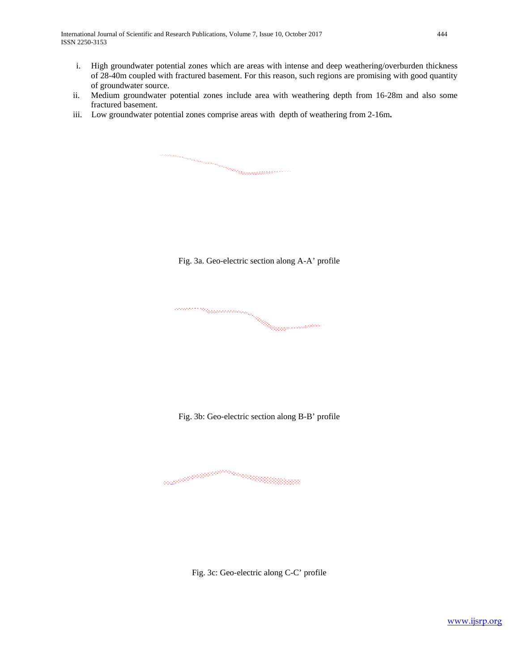International Journal of Scientific and Research Publications, Volume 7, Issue 10, October 2017 444 ISSN 2250-3153

- i. High groundwater potential zones which are areas with intense and deep weathering/overburden thickness of 28-40m coupled with fractured basement. For this reason, such regions are promising with good quantity of groundwater source.
- ii. Medium groundwater potential zones include area with weathering depth from 16-28m and also some fractured basement.
- iii. Low groundwater potential zones comprise areas with depth of weathering from 2-16m**.**

Fig. 3a. Geo-electric section along A-A' profile

en en de la proposition de la companya de la companya de la companya de la companya de la companya de la compa<br>La companya de la companya de la companya de la companya de la companya de la companya de la companya de la co

and a complete the complete of the complete of the complete of the complete of the complete of the complete of<br>Seconds and the complete of the complete of the complete of the complete of the complete of the complete of th na mananggunaan kalendari kalendari kalendari kalendari kalendari kalendari kalendari kalendari kalendari kale<br>Kalendari kalendari kalendari kalendari kalendari kalendari kalendari kalendari kalendari kalendari kalendari

Fig. 3b: Geo-electric section along B-B' profile

aali<sup>i ja jään maanaa kuuluuma.</sup>

Fig. 3c: Geo-electric along C-C' profile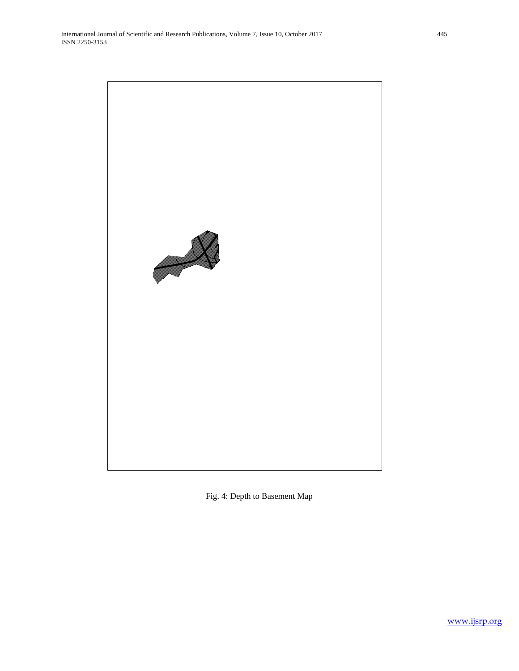

Fig. 4: Depth to Basement Map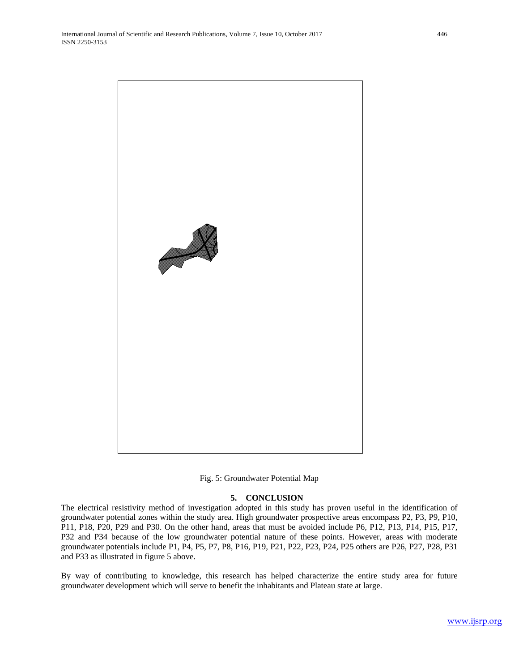

Fig. 5: Groundwater Potential Map

#### **5. CONCLUSION**

The electrical resistivity method of investigation adopted in this study has proven useful in the identification of groundwater potential zones within the study area. High groundwater prospective areas encompass P2, P3, P9, P10, P11, P18, P20, P29 and P30. On the other hand, areas that must be avoided include P6, P12, P13, P14, P15, P17, P32 and P34 because of the low groundwater potential nature of these points. However, areas with moderate groundwater potentials include P1, P4, P5, P7, P8, P16, P19, P21, P22, P23, P24, P25 others are P26, P27, P28, P31 and P33 as illustrated in figure 5 above.

By way of contributing to knowledge, this research has helped characterize the entire study area for future groundwater development which will serve to benefit the inhabitants and Plateau state at large.